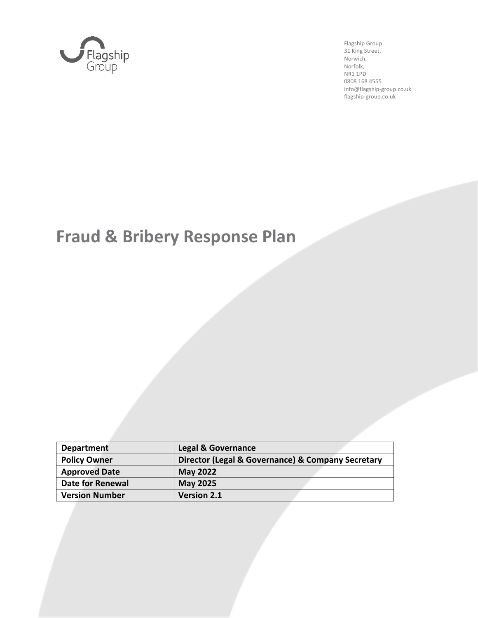

Flagship Group 31 King Street, Norwich, Norfolk, NR1 1PD 0808 168 4555 info@flagship-group.co.uk flagship-group.co.uk

# **Fraud & Bribery Response Plan**

| <b>Department</b>     | <b>Legal &amp; Governance</b>                     |
|-----------------------|---------------------------------------------------|
| <b>Policy Owner</b>   | Director (Legal & Governance) & Company Secretary |
| <b>Approved Date</b>  | <b>May 2022</b>                                   |
| Date for Renewal      | <b>May 2025</b>                                   |
| <b>Version Number</b> | <b>Version 2.1</b>                                |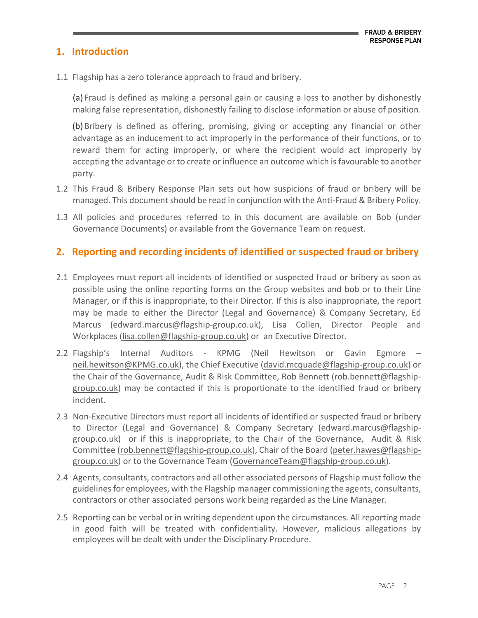## **1. Introduction**

1.1 Flagship has a zero tolerance approach to fraud and bribery.

(a) Fraud is defined as making a personal gain or causing a loss to another by dishonestly making false representation, dishonestly failing to disclose information or abuse of position.

(b)Bribery is defined as offering, promising, giving or accepting any financial or other advantage as an inducement to act improperly in the performance of their functions, or to reward them for acting improperly, or where the recipient would act improperly by accepting the advantage or to create or influence an outcome which is favourable to another party.

- 1.2 This Fraud & Bribery Response Plan sets out how suspicions of fraud or bribery will be managed. This document should be read in conjunction with the Anti-Fraud & Bribery Policy.
- 1.3 All policies and procedures referred to in this document are available on Bob (under Governance Documents) or available from the Governance Team on request.

## **2. Reporting and recording incidents of identified or suspected fraud or bribery**

- 2.1 Employees must report all incidents of identified or suspected fraud or bribery as soon as possible using the online reporting forms on the Group websites and bob or to their Line Manager, or if this is inappropriate, to their Director. If this is also inappropriate, the report may be made to either the Director (Legal and Governance) & Company Secretary, Ed Marcus [\(edward.marcus@flagship-group.co.uk\)](mailto:edward.marcus@flagship-group.co.uk), Lisa Collen, Director People and Workplaces [\(lisa.collen@flagship-group.co.uk\)](mailto:lisa.collen@flagship-group.co.uk) or an Executive Director.
- 2.2 Flagship's Internal Auditors KPMG (Neil Hewitson or Gavin Egmore [neil.hewitson@KPMG.co.uk\)](mailto:neil.hewitson@KPMG.co.uk), the Chief Executive [\(david.mcquade@flagship-group.co.uk\)](mailto:david.mcquade@flagship-group.co.uk) or the Chair of the Governance, Audit & Risk Committee, Rob Bennett [\(rob.bennett@flagship](mailto:rob.bennett@flagship-group.co.uk)[group.co.uk\)](mailto:rob.bennett@flagship-group.co.uk) may be contacted if this is proportionate to the identified fraud or bribery incident.
- 2.3 Non-Executive Directors must report all incidents of identified or suspected fraud or bribery to Director (Legal and Governance) & Company Secretary (edward.marcus@flagshipgroup.co.uk) or if this is inappropriate, to the Chair of the Governance, Audit & Risk Committee (rob.bennett@flagship-group.co.uk), Chair of the Board [\(peter.hawes@flagship](mailto:peter.hawes@flagship-group.co.uk)[group.co.uk\)](mailto:peter.hawes@flagship-group.co.uk) or to the Governance Team [\(GovernanceTeam@flagship-group.co.uk\)](mailto:GovernanceTeam@flagship-group.co.uk).
- 2.4 Agents, consultants, contractors and all other associated persons of Flagship must follow the guidelines for employees, with the Flagship manager commissioning the agents, consultants, contractors or other associated persons work being regarded as the Line Manager.
- 2.5 Reporting can be verbal or in writing dependent upon the circumstances. All reporting made in good faith will be treated with confidentiality. However, malicious allegations by employees will be dealt with under the Disciplinary Procedure.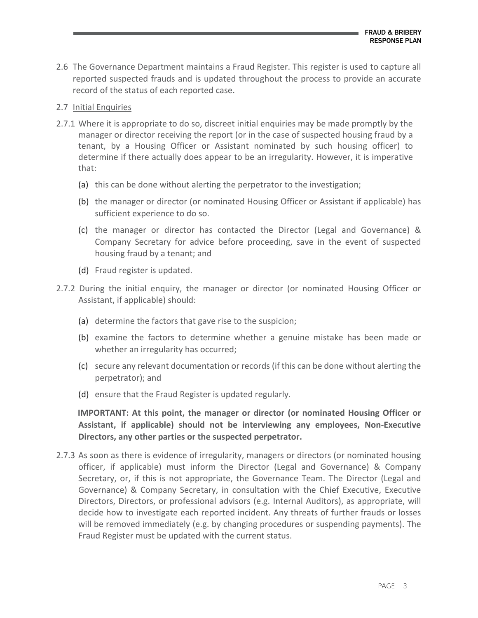2.6 The Governance Department maintains a Fraud Register. This register is used to capture all reported suspected frauds and is updated throughout the process to provide an accurate record of the status of each reported case.

#### 2.7 Initial Enquiries

- 2.7.1 Where it is appropriate to do so, discreet initial enquiries may be made promptly by the manager or director receiving the report (or in the case of suspected housing fraud by a tenant, by a Housing Officer or Assistant nominated by such housing officer) to determine if there actually does appear to be an irregularity. However, it is imperative that:
	- (a) this can be done without alerting the perpetrator to the investigation;
	- (b) the manager or director (or nominated Housing Officer or Assistant if applicable) has sufficient experience to do so.
	- (c) the manager or director has contacted the Director (Legal and Governance) & Company Secretary for advice before proceeding, save in the event of suspected housing fraud by a tenant; and
	- (d) Fraud register is updated.
- 2.7.2 During the initial enquiry, the manager or director (or nominated Housing Officer or Assistant, if applicable) should:
	- (a) determine the factors that gave rise to the suspicion;
	- (b) examine the factors to determine whether a genuine mistake has been made or whether an irregularity has occurred;
	- (c) secure any relevant documentation or records (if this can be done without alerting the perpetrator); and
	- (d) ensure that the Fraud Register is updated regularly.

**IMPORTANT: At this point, the manager or director (or nominated Housing Officer or Assistant, if applicable) should not be interviewing any employees, Non-Executive Directors, any other parties or the suspected perpetrator.** 

2.7.3 As soon as there is evidence of irregularity, managers or directors (or nominated housing officer, if applicable) must inform the Director (Legal and Governance) & Company Secretary, or, if this is not appropriate, the Governance Team. The Director (Legal and Governance) & Company Secretary, in consultation with the Chief Executive, Executive Directors, Directors, or professional advisors (e.g. Internal Auditors), as appropriate, will decide how to investigate each reported incident. Any threats of further frauds or losses will be removed immediately (e.g. by changing procedures or suspending payments). The Fraud Register must be updated with the current status.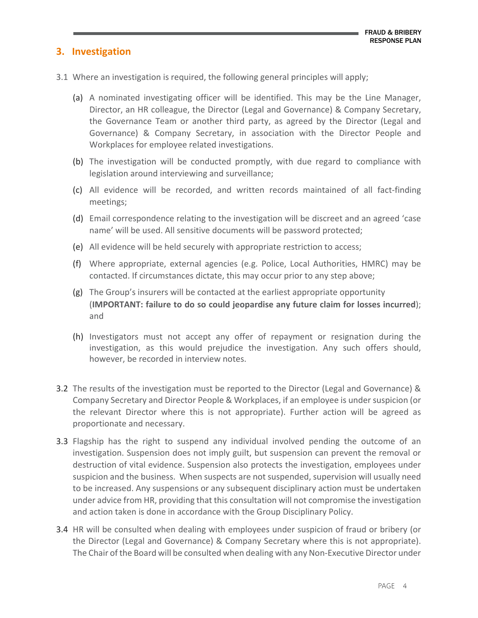## **3. Investigation**

- 3.1 Where an investigation is required, the following general principles will apply;
	- (a) A nominated investigating officer will be identified. This may be the Line Manager, Director, an HR colleague, the Director (Legal and Governance) & Company Secretary, the Governance Team or another third party, as agreed by the Director (Legal and Governance) & Company Secretary, in association with the Director People and Workplaces for employee related investigations.
	- (b) The investigation will be conducted promptly, with due regard to compliance with legislation around interviewing and surveillance;
	- (c) All evidence will be recorded, and written records maintained of all fact-finding meetings;
	- (d) Email correspondence relating to the investigation will be discreet and an agreed 'case name' will be used. All sensitive documents will be password protected;
	- (e) All evidence will be held securely with appropriate restriction to access;
	- (f) Where appropriate, external agencies (e.g. Police, Local Authorities, HMRC) may be contacted. If circumstances dictate, this may occur prior to any step above;
	- (g) The Group's insurers will be contacted at the earliest appropriate opportunity (**IMPORTANT: failure to do so could jeopardise any future claim for losses incurred**); and
	- (h) Investigators must not accept any offer of repayment or resignation during the investigation, as this would prejudice the investigation. Any such offers should, however, be recorded in interview notes.
- 3.2 The results of the investigation must be reported to the Director (Legal and Governance) & Company Secretary and Director People & Workplaces, if an employee is under suspicion (or the relevant Director where this is not appropriate). Further action will be agreed as proportionate and necessary.
- 3.3 Flagship has the right to suspend any individual involved pending the outcome of an investigation. Suspension does not imply guilt, but suspension can prevent the removal or destruction of vital evidence. Suspension also protects the investigation, employees under suspicion and the business. When suspects are not suspended, supervision will usually need to be increased. Any suspensions or any subsequent disciplinary action must be undertaken under advice from HR, providing that this consultation will not compromise the investigation and action taken is done in accordance with the Group Disciplinary Policy.
- 3.4 HR will be consulted when dealing with employees under suspicion of fraud or bribery (or the Director (Legal and Governance) & Company Secretary where this is not appropriate). The Chair of the Board will be consulted when dealing with any Non-Executive Director under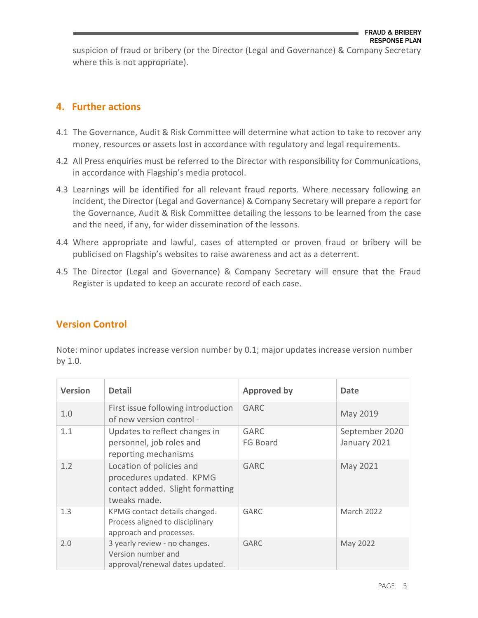suspicion of fraud or bribery (or the Director (Legal and Governance) & Company Secretary where this is not appropriate).

## **4. Further actions**

- 4.1 The Governance, Audit & Risk Committee will determine what action to take to recover any money, resources or assets lost in accordance with regulatory and legal requirements.
- 4.2 All Press enquiries must be referred to the Director with responsibility for Communications, in accordance with Flagship's media protocol.
- 4.3 Learnings will be identified for all relevant fraud reports. Where necessary following an incident, the Director (Legal and Governance) & Company Secretary will prepare a report for the Governance, Audit & Risk Committee detailing the lessons to be learned from the case and the need, if any, for wider dissemination of the lessons.
- 4.4 Where appropriate and lawful, cases of attempted or proven fraud or bribery will be publicised on Flagship's websites to raise awareness and act as a deterrent.
- 4.5 The Director (Legal and Governance) & Company Secretary will ensure that the Fraud Register is updated to keep an accurate record of each case.

## **Version Control**

Note: minor updates increase version number by 0.1; major updates increase version number by 1.0.

| <b>Version</b> | <b>Detail</b>                                                                                            | <b>Approved by</b>      | <b>Date</b>                    |
|----------------|----------------------------------------------------------------------------------------------------------|-------------------------|--------------------------------|
| 1.0            | First issue following introduction<br>of new version control -                                           | <b>GARC</b>             | May 2019                       |
| 1.1            | Updates to reflect changes in<br>personnel, job roles and<br>reporting mechanisms                        | <b>GARC</b><br>FG Board | September 2020<br>January 2021 |
| 1.2            | Location of policies and<br>procedures updated. KPMG<br>contact added. Slight formatting<br>tweaks made. | <b>GARC</b>             | May 2021                       |
| 1.3            | KPMG contact details changed.<br>Process aligned to disciplinary<br>approach and processes.              | <b>GARC</b>             | <b>March 2022</b>              |
| 2.0            | 3 yearly review - no changes.<br>Version number and<br>approval/renewal dates updated.                   | <b>GARC</b>             | May 2022                       |